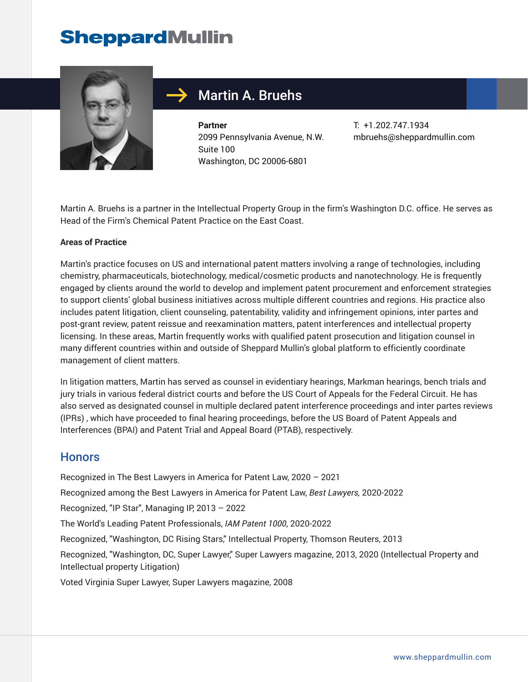# **SheppardMullin**



## Martin A. Bruehs

**Partner** 2099 Pennsylvania Avenue, N.W. Suite 100 Washington, DC 20006-6801

T: +1.202.747.1934 mbruehs@sheppardmullin.com

Martin A. Bruehs is a partner in the Intellectual Property Group in the firm's Washington D.C. office. He serves as Head of the Firm's Chemical Patent Practice on the East Coast.

#### **Areas of Practice**

Martin's practice focuses on US and international patent matters involving a range of technologies, including chemistry, pharmaceuticals, biotechnology, medical/cosmetic products and nanotechnology. He is frequently engaged by clients around the world to develop and implement patent procurement and enforcement strategies to support clients' global business initiatives across multiple different countries and regions. His practice also includes patent litigation, client counseling, patentability, validity and infringement opinions, inter partes and post-grant review, patent reissue and reexamination matters, patent interferences and intellectual property licensing. In these areas, Martin frequently works with qualified patent prosecution and litigation counsel in many different countries within and outside of Sheppard Mullin's global platform to efficiently coordinate management of client matters.

In litigation matters, Martin has served as counsel in evidentiary hearings, Markman hearings, bench trials and jury trials in various federal district courts and before the US Court of Appeals for the Federal Circuit. He has also served as designated counsel in multiple declared patent interference proceedings and inter partes reviews (IPRs) , which have proceeded to final hearing proceedings, before the US Board of Patent Appeals and Interferences (BPAI) and Patent Trial and Appeal Board (PTAB), respectively.

#### **Honors**

Recognized in The Best Lawyers in America for Patent Law, 2020 – 2021

Recognized among the Best Lawyers in America for Patent Law, *Best Lawyers,* 2020-2022

Recognized, "IP Star", Managing IP, 2013 – 2022

The World's Leading Patent Professionals, *IAM Patent 1000*, 2020-2022

Recognized, "Washington, DC Rising Stars," Intellectual Property, Thomson Reuters, 2013

Recognized, "Washington, DC, Super Lawyer," Super Lawyers magazine, 2013, 2020 (Intellectual Property and Intellectual property Litigation)

Voted Virginia Super Lawyer, Super Lawyers magazine, 2008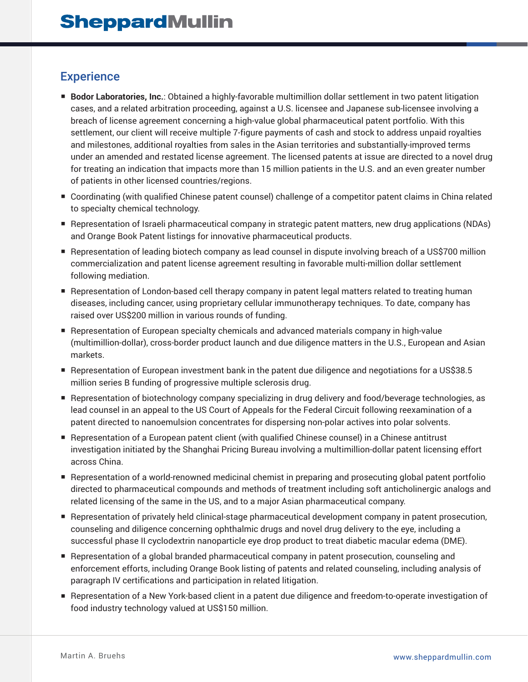## **Experience**

- **Bodor Laboratories, Inc.**: Obtained a highly-favorable multimillion dollar settlement in two patent litigation cases, and a related arbitration proceeding, against a U.S. licensee and Japanese sub-licensee involving a breach of license agreement concerning a high-value global pharmaceutical patent portfolio. With this settlement, our client will receive multiple 7-figure payments of cash and stock to address unpaid royalties and milestones, additional royalties from sales in the Asian territories and substantially-improved terms under an amended and restated license agreement. The licensed patents at issue are directed to a novel drug for treating an indication that impacts more than 15 million patients in the U.S. and an even greater number of patients in other licensed countries/regions.
- Coordinating (with qualified Chinese patent counsel) challenge of a competitor patent claims in China related to specialty chemical technology.
- Representation of Israeli pharmaceutical company in strategic patent matters, new drug applications (NDAs) and Orange Book Patent listings for innovative pharmaceutical products.
- Representation of leading biotech company as lead counsel in dispute involving breach of a US\$700 million commercialization and patent license agreement resulting in favorable multi-million dollar settlement following mediation.
- Representation of London-based cell therapy company in patent legal matters related to treating human diseases, including cancer, using proprietary cellular immunotherapy techniques. To date, company has raised over US\$200 million in various rounds of funding.
- Representation of European specialty chemicals and advanced materials company in high-value (multimillion-dollar), cross-border product launch and due diligence matters in the U.S., European and Asian markets.
- Representation of European investment bank in the patent due diligence and negotiations for a US\$38.5 million series B funding of progressive multiple sclerosis drug.
- Representation of biotechnology company specializing in drug delivery and food/beverage technologies, as lead counsel in an appeal to the US Court of Appeals for the Federal Circuit following reexamination of a patent directed to nanoemulsion concentrates for dispersing non-polar actives into polar solvents.
- Representation of a European patent client (with qualified Chinese counsel) in a Chinese antitrust investigation initiated by the Shanghai Pricing Bureau involving a multimillion-dollar patent licensing effort across China.
- Representation of a world-renowned medicinal chemist in preparing and prosecuting global patent portfolio directed to pharmaceutical compounds and methods of treatment including soft anticholinergic analogs and related licensing of the same in the US, and to a major Asian pharmaceutical company.
- Representation of privately held clinical-stage pharmaceutical development company in patent prosecution, counseling and diligence concerning ophthalmic drugs and novel drug delivery to the eye, including a successful phase II cyclodextrin nanoparticle eye drop product to treat diabetic macular edema (DME).
- Representation of a global branded pharmaceutical company in patent prosecution, counseling and enforcement efforts, including Orange Book listing of patents and related counseling, including analysis of paragraph IV certifications and participation in related litigation.
- Representation of a New York-based client in a patent due diligence and freedom-to-operate investigation of food industry technology valued at US\$150 million.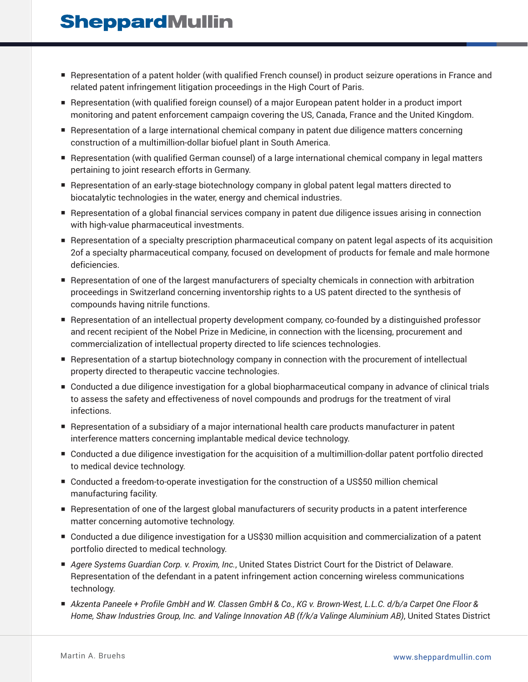## **SheppardMullin**

- Representation of a patent holder (with qualified French counsel) in product seizure operations in France and related patent infringement litigation proceedings in the High Court of Paris.
- Representation (with qualified foreign counsel) of a major European patent holder in a product import monitoring and patent enforcement campaign covering the US, Canada, France and the United Kingdom.
- Representation of a large international chemical company in patent due diligence matters concerning construction of a multimillion-dollar biofuel plant in South America.
- Representation (with qualified German counsel) of a large international chemical company in legal matters pertaining to joint research efforts in Germany.
- Representation of an early-stage biotechnology company in global patent legal matters directed to biocatalytic technologies in the water, energy and chemical industries.
- Representation of a global financial services company in patent due diligence issues arising in connection with high-value pharmaceutical investments.
- Representation of a specialty prescription pharmaceutical company on patent legal aspects of its acquisition 2of a specialty pharmaceutical company, focused on development of products for female and male hormone deficiencies.
- Representation of one of the largest manufacturers of specialty chemicals in connection with arbitration proceedings in Switzerland concerning inventorship rights to a US patent directed to the synthesis of compounds having nitrile functions.
- Representation of an intellectual property development company, co-founded by a distinguished professor and recent recipient of the Nobel Prize in Medicine, in connection with the licensing, procurement and commercialization of intellectual property directed to life sciences technologies.
- Representation of a startup biotechnology company in connection with the procurement of intellectual property directed to therapeutic vaccine technologies.
- Conducted a due diligence investigation for a global biopharmaceutical company in advance of clinical trials to assess the safety and effectiveness of novel compounds and prodrugs for the treatment of viral infections.
- Representation of a subsidiary of a major international health care products manufacturer in patent interference matters concerning implantable medical device technology.
- Conducted a due diligence investigation for the acquisition of a multimillion-dollar patent portfolio directed to medical device technology.
- Conducted a freedom-to-operate investigation for the construction of a US\$50 million chemical manufacturing facility.
- Representation of one of the largest global manufacturers of security products in a patent interference matter concerning automotive technology.
- Conducted a due diligence investigation for a US\$30 million acquisition and commercialization of a patent portfolio directed to medical technology.
- *Agere Systems Guardian Corp. v. Proxim, Inc.*, United States District Court for the District of Delaware. Representation of the defendant in a patent infringement action concerning wireless communications technology.
- *Akzenta Paneele + Profile GmbH and W. Classen GmbH & Co., KG v. Brown-West, L.L.C. d/b/a Carpet One Floor & Home, Shaw Industries Group, Inc. and Valinge Innovation AB (f/k/a Valinge Aluminium AB)*, United States District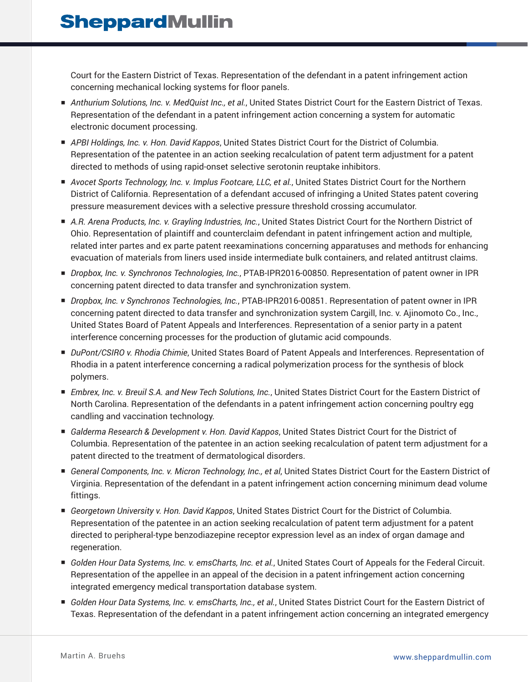Court for the Eastern District of Texas. Representation of the defendant in a patent infringement action concerning mechanical locking systems for floor panels.

- *Anthurium Solutions, Inc. v. MedQuist Inc., et al.*, United States District Court for the Eastern District of Texas. Representation of the defendant in a patent infringement action concerning a system for automatic electronic document processing.
- *APBI Holdings, Inc. v. Hon. David Kappos,* United States District Court for the District of Columbia. Representation of the patentee in an action seeking recalculation of patent term adjustment for a patent directed to methods of using rapid-onset selective serotonin reuptake inhibitors.
- *Avocet Sports Technology, Inc. v. Implus Footcare, LLC, et al.*, United States District Court for the Northern District of California. Representation of a defendant accused of infringing a United States patent covering pressure measurement devices with a selective pressure threshold crossing accumulator.
- *A.R. Arena Products, Inc. v. Grayling Industries, Inc.*, United States District Court for the Northern District of Ohio. Representation of plaintiff and counterclaim defendant in patent infringement action and multiple, related inter partes and ex parte patent reexaminations concerning apparatuses and methods for enhancing evacuation of materials from liners used inside intermediate bulk containers, and related antitrust claims.
- *Dropbox, Inc. v. Synchronos Technologies, Inc.*, PTAB-IPR2016-00850. Representation of patent owner in IPR concerning patent directed to data transfer and synchronization system.
- *Dropbox, Inc. v Synchronos Technologies, Inc.*, PTAB-IPR2016-00851. Representation of patent owner in IPR concerning patent directed to data transfer and synchronization system Cargill, Inc. v. Ajinomoto Co., Inc., United States Board of Patent Appeals and Interferences. Representation of a senior party in a patent interference concerning processes for the production of glutamic acid compounds.
- *DuPont/CSIRO v. Rhodia Chimie*, United States Board of Patent Appeals and Interferences. Representation of Rhodia in a patent interference concerning a radical polymerization process for the synthesis of block polymers.
- *Embrex, Inc. v. Breuil S.A. and New Tech Solutions, Inc.*, United States District Court for the Eastern District of North Carolina. Representation of the defendants in a patent infringement action concerning poultry egg candling and vaccination technology.
- *Galderma Research & Development v. Hon. David Kappos*, United States District Court for the District of Columbia. Representation of the patentee in an action seeking recalculation of patent term adjustment for a patent directed to the treatment of dermatological disorders.
- *General Components, Inc. v. Micron Technology, Inc., et al*, United States District Court for the Eastern District of Virginia. Representation of the defendant in a patent infringement action concerning minimum dead volume fittings.
- *Georgetown University v. Hon. David Kappos*, United States District Court for the District of Columbia. Representation of the patentee in an action seeking recalculation of patent term adjustment for a patent directed to peripheral-type benzodiazepine receptor expression level as an index of organ damage and regeneration.
- *Golden Hour Data Systems, Inc. v. emsCharts, Inc. et al.*, United States Court of Appeals for the Federal Circuit. Representation of the appellee in an appeal of the decision in a patent infringement action concerning integrated emergency medical transportation database system.
- *Golden Hour Data Systems, Inc. v. emsCharts, Inc., et al.*, United States District Court for the Eastern District of Texas. Representation of the defendant in a patent infringement action concerning an integrated emergency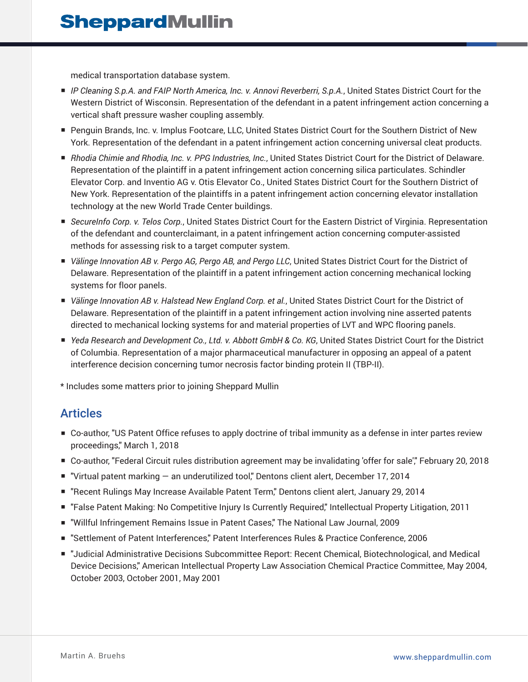medical transportation database system.

- *IP Cleaning S.p.A. and FAIP North America, Inc. v. Annovi Reverberri, S.p.A.*, United States District Court for the Western District of Wisconsin. Representation of the defendant in a patent infringement action concerning a vertical shaft pressure washer coupling assembly.
- Penguin Brands, Inc. v. Implus Footcare, LLC, United States District Court for the Southern District of New York. Representation of the defendant in a patent infringement action concerning universal cleat products.
- *Rhodia Chimie and Rhodia, Inc. v. PPG Industries, Inc.*, United States District Court for the District of Delaware. Representation of the plaintiff in a patent infringement action concerning silica particulates. Schindler Elevator Corp. and Inventio AG v. Otis Elevator Co., United States District Court for the Southern District of New York. Representation of the plaintiffs in a patent infringement action concerning elevator installation technology at the new World Trade Center buildings.
- *SecureInfo Corp. v. Telos Corp.*, United States District Court for the Eastern District of Virginia. Representation of the defendant and counterclaimant, in a patent infringement action concerning computer-assisted methods for assessing risk to a target computer system.
- *Välinge Innovation AB v. Pergo AG, Pergo AB, and Pergo LLC*, United States District Court for the District of Delaware. Representation of the plaintiff in a patent infringement action concerning mechanical locking systems for floor panels.
- *Välinge Innovation AB v. Halstead New England Corp. et al.*, United States District Court for the District of Delaware. Representation of the plaintiff in a patent infringement action involving nine asserted patents directed to mechanical locking systems for and material properties of LVT and WPC flooring panels.
- *Yeda Research and Development Co., Ltd. v. Abbott GmbH & Co. KG*, United States District Court for the District of Columbia. Representation of a major pharmaceutical manufacturer in opposing an appeal of a patent interference decision concerning tumor necrosis factor binding protein II (TBP-II).

\* Includes some matters prior to joining Sheppard Mullin

### Articles

- Co-author, "US Patent Office refuses to apply doctrine of tribal immunity as a defense in inter partes review proceedings," March 1, 2018
- Co-author, "Federal Circuit rules distribution agreement may be invalidating 'offer for sale'," February 20, 2018
- "Virtual patent marking an underutilized tool," Dentons client alert, December 17, 2014
- "Recent Rulings May Increase Available Patent Term," Dentons client alert, January 29, 2014
- "False Patent Making: No Competitive Injury Is Currently Required," Intellectual Property Litigation, 2011
- "Willful Infringement Remains Issue in Patent Cases" The National Law Journal, 2009
- "Settlement of Patent Interferences," Patent Interferences Rules & Practice Conference, 2006
- "Judicial Administrative Decisions Subcommittee Report: Recent Chemical, Biotechnological, and Medical Device Decisions," American Intellectual Property Law Association Chemical Practice Committee, May 2004, October 2003, October 2001, May 2001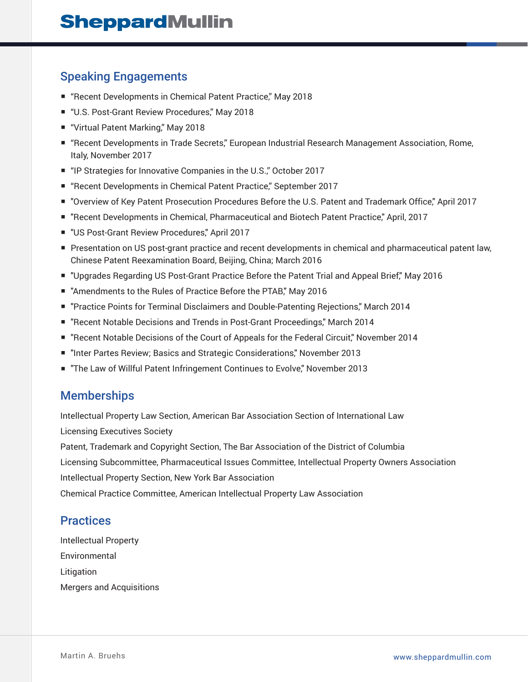## Speaking Engagements

- "Recent Developments in Chemical Patent Practice," May 2018
- "U.S. Post-Grant Review Procedures," May 2018
- "Virtual Patent Marking," May 2018
- "Recent Developments in Trade Secrets," European Industrial Research Management Association, Rome, Italy, November 2017
- "IP Strategies for Innovative Companies in the U.S." October 2017
- "Recent Developments in Chemical Patent Practice," September 2017
- "Overview of Key Patent Prosecution Procedures Before the U.S. Patent and Trademark Office," April 2017
- "Recent Developments in Chemical, Pharmaceutical and Biotech Patent Practice," April, 2017
- "US Post-Grant Review Procedures," April 2017
- Presentation on US post-grant practice and recent developments in chemical and pharmaceutical patent law, Chinese Patent Reexamination Board, Beijing, China; March 2016
- "Upgrades Regarding US Post-Grant Practice Before the Patent Trial and Appeal Brief," May 2016
- "Amendments to the Rules of Practice Before the PTAB," May 2016
- "Practice Points for Terminal Disclaimers and Double-Patenting Rejections," March 2014
- "Recent Notable Decisions and Trends in Post-Grant Proceedings," March 2014
- "Recent Notable Decisions of the Court of Appeals for the Federal Circuit," November 2014
- "Inter Partes Review; Basics and Strategic Considerations," November 2013
- "The Law of Willful Patent Infringement Continues to Evolve," November 2013

#### **Memberships**

Intellectual Property Law Section, American Bar Association Section of International Law Licensing Executives Society

Patent, Trademark and Copyright Section, The Bar Association of the District of Columbia

Licensing Subcommittee, Pharmaceutical Issues Committee, Intellectual Property Owners Association

Intellectual Property Section, New York Bar Association

Chemical Practice Committee, American Intellectual Property Law Association

#### **Practices**

Intellectual Property Environmental Litigation Mergers and Acquisitions